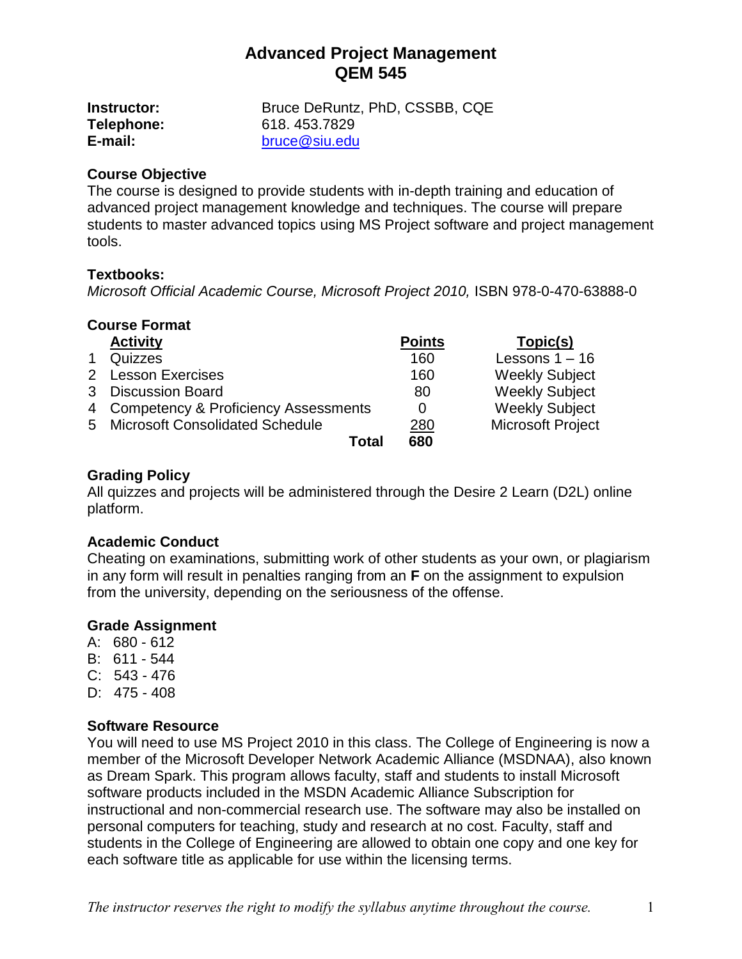| <b>Instructor:</b> | Bruce DeRuntz, PhD, CSSBB, CQE |
|--------------------|--------------------------------|
| Telephone:         | 618, 453, 7829                 |
| E-mail:            | bruce@siu.edu                  |

### **Course Objective**

The course is designed to provide students with in-depth training and education of advanced project management knowledge and techniques. The course will prepare students to master advanced topics using MS Project software and project management tools.

## **Textbooks:**

*Microsoft Official Academic Course, Microsoft Project 2010,* ISBN 978-0-470-63888-0

#### **Course Format**

| <b>Activity</b>                        | <b>Points</b> | Topic(s)                 |
|----------------------------------------|---------------|--------------------------|
| Quizzes                                | 160           | Lessons $1 - 16$         |
| 2 Lesson Exercises                     | 160           | <b>Weekly Subject</b>    |
| 3 Discussion Board                     | 80            | <b>Weekly Subject</b>    |
| 4 Competency & Proficiency Assessments | 0             | <b>Weekly Subject</b>    |
| 5 Microsoft Consolidated Schedule      | <u>280</u>    | <b>Microsoft Project</b> |
| Total                                  | 680           |                          |

#### **Grading Policy**

All quizzes and projects will be administered through the Desire 2 Learn (D2L) online platform.

#### **Academic Conduct**

Cheating on examinations, submitting work of other students as your own, or plagiarism in any form will result in penalties ranging from an **F** on the assignment to expulsion from the university, depending on the seriousness of the offense.

#### **Grade Assignment**

- A: 680 612
- B: 611 544
- C: 543 476
- D: 475 408

#### **Software Resource**

You will need to use MS Project 2010 in this class. The College of Engineering is now a member of the Microsoft Developer Network Academic Alliance (MSDNAA), also known as Dream Spark. This program allows faculty, staff and students to install Microsoft software products included in the MSDN Academic Alliance Subscription for instructional and non-commercial research use. The software may also be installed on personal computers for teaching, study and research at no cost. Faculty, staff and students in the College of Engineering are allowed to obtain one copy and one key for each software title as applicable for use within the licensing terms.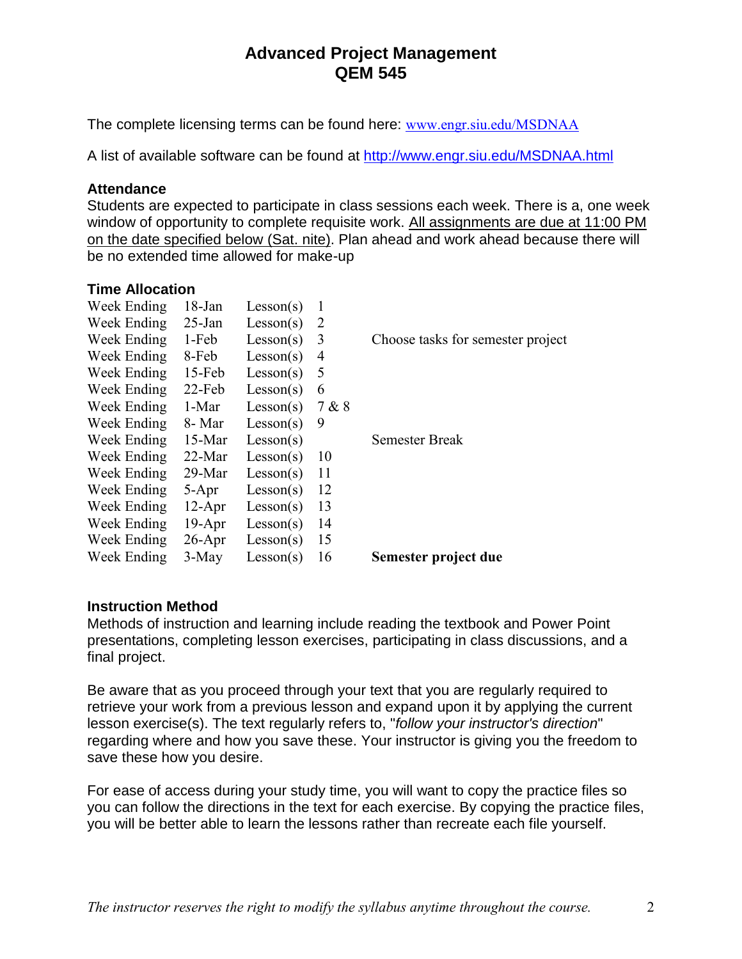The complete licensing terms can be found here: [www.engr.siu.edu/MSDNAA](http://www.engr.siu.edu/MSDNAA)

A list of available software can be found at<http://www.engr.siu.edu/MSDNAA.html>

### **Attendance**

Students are expected to participate in class sessions each week. There is a, one week window of opportunity to complete requisite work. All assignments are due at 11:00 PM on the date specified below (Sat. nite). Plan ahead and work ahead because there will be no extended time allowed for make-up

### **Time Allocation**

| Week Ending | $18$ -Jan | Lesson(s) | 1     |                                   |
|-------------|-----------|-----------|-------|-----------------------------------|
| Week Ending | $25$ -Jan | Lesson(s) | 2     |                                   |
| Week Ending | 1-Feb     | Lesson(s) | 3     | Choose tasks for semester project |
| Week Ending | 8-Feb     | Lesson(s) | 4     |                                   |
| Week Ending | $15$ -Feb | Lesson(s) | 5     |                                   |
| Week Ending | $22$ -Feb | Lesson(s) | 6     |                                   |
| Week Ending | 1-Mar     | Lesson(s) | 7 & 8 |                                   |
| Week Ending | 8- Mar    | Lesson(s) | 9     |                                   |
| Week Ending | $15-Mar$  | Lesson(s) |       | Semester Break                    |
| Week Ending | $22-Mar$  | Lesson(s) | 10    |                                   |
| Week Ending | $29-Mar$  | Lesson(s) | 11    |                                   |
| Week Ending | $5 - Apr$ | Lesson(s) | 12    |                                   |
| Week Ending | $12-Apr$  | Lesson(s) | 13    |                                   |
| Week Ending | $19-Apr$  | Lesson(s) | 14    |                                   |
| Week Ending | $26$ -Apr | Lesson(s) | 15    |                                   |
| Week Ending | $3-May$   | Lesson(s) | 16    | Semester project due              |
|             |           |           |       |                                   |

## **Instruction Method**

Methods of instruction and learning include reading the textbook and Power Point presentations, completing lesson exercises, participating in class discussions, and a final project.

Be aware that as you proceed through your text that you are regularly required to retrieve your work from a previous lesson and expand upon it by applying the current lesson exercise(s). The text regularly refers to, "*follow your instructor's direction*" regarding where and how you save these. Your instructor is giving you the freedom to save these how you desire.

For ease of access during your study time, you will want to copy the practice files so you can follow the directions in the text for each exercise. By copying the practice files, you will be better able to learn the lessons rather than recreate each file yourself.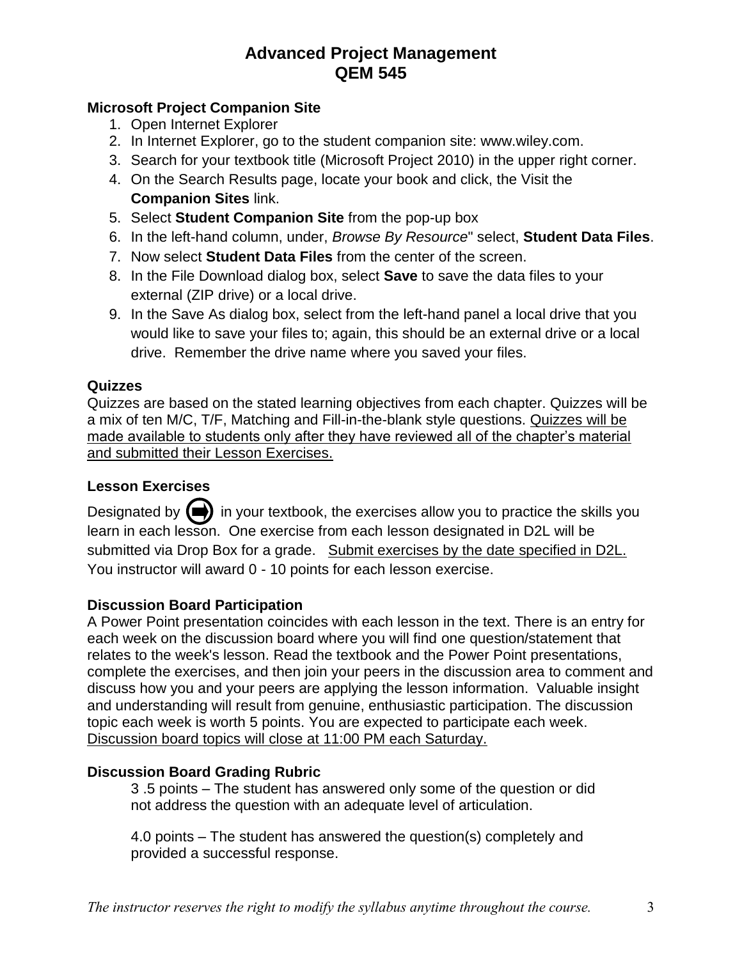# **Microsoft Project Companion Site**

- 1. Open Internet Explorer
- 2. In Internet Explorer, go to the student companion site: www.wiley.com.
- 3. Search for your textbook title (Microsoft Project 2010) in the upper right corner.
- 4. On the Search Results page, locate your book and click, the Visit the **Companion Sites** link.
- 5. Select **Student Companion Site** from the pop-up box
- 6. In the left-hand column, under, *Browse By Resource*" select, **Student Data Files**.
- 7. Now select **Student Data Files** from the center of the screen.
- 8. In the File Download dialog box, select **Save** to save the data files to your external (ZIP drive) or a local drive.
- 9. In the Save As dialog box, select from the left-hand panel a local drive that you would like to save your files to; again, this should be an external drive or a local drive. Remember the drive name where you saved your files.

## **Quizzes**

Quizzes are based on the stated learning objectives from each chapter. Quizzes will be a mix of ten M/C, T/F, Matching and Fill-in-the-blank style questions. Quizzes will be made available to students only after they have reviewed all of the chapter's material and submitted their Lesson Exercises.

## **Lesson Exercises**

Designated by  $\left(\right)$  in your textbook, the exercises allow you to practice the skills you learn in each lesson. One exercise from each lesson designated in D2L will be submitted via Drop Box for a grade. Submit exercises by the date specified in D2L. You instructor will award 0 - 10 points for each lesson exercise.

## **Discussion Board Participation**

A Power Point presentation coincides with each lesson in the text. There is an entry for each week on the discussion board where you will find one question/statement that relates to the week's lesson. Read the textbook and the Power Point presentations, complete the exercises, and then join your peers in the discussion area to comment and discuss how you and your peers are applying the lesson information. Valuable insight and understanding will result from genuine, enthusiastic participation. The discussion topic each week is worth 5 points. You are expected to participate each week. Discussion board topics will close at 11:00 PM each Saturday.

## **Discussion Board Grading Rubric**

3 .5 points – The student has answered only some of the question or did not address the question with an adequate level of articulation.

4.0 points – The student has answered the question(s) completely and provided a successful response.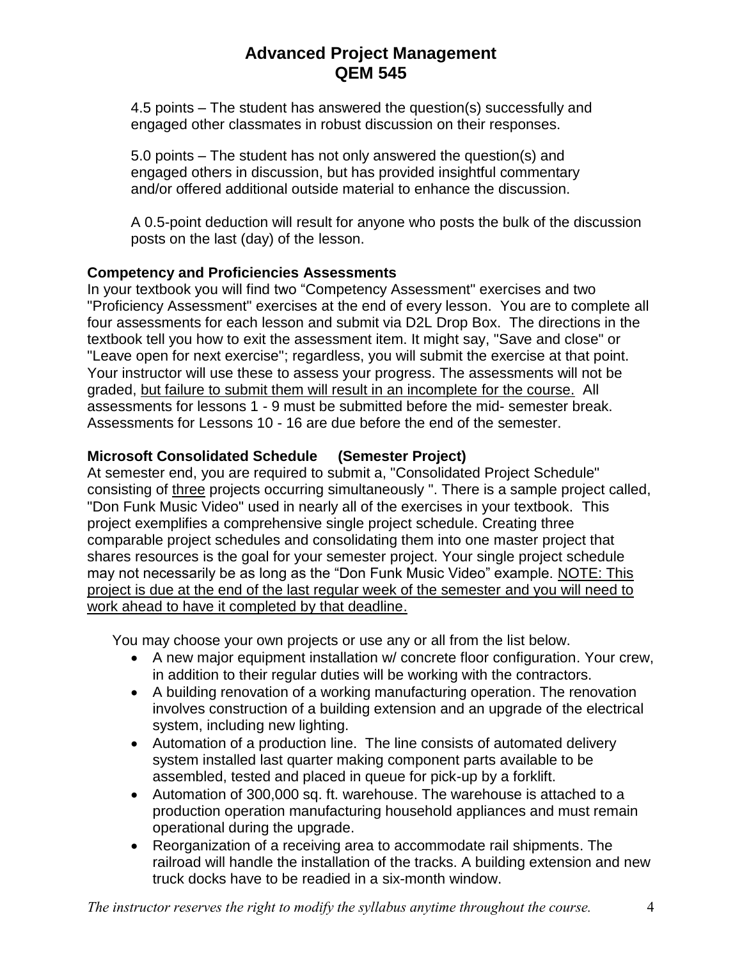4.5 points – The student has answered the question(s) successfully and engaged other classmates in robust discussion on their responses.

5.0 points – The student has not only answered the question(s) and engaged others in discussion, but has provided insightful commentary and/or offered additional outside material to enhance the discussion.

A 0.5-point deduction will result for anyone who posts the bulk of the discussion posts on the last (day) of the lesson.

# **Competency and Proficiencies Assessments**

In your textbook you will find two "Competency Assessment" exercises and two "Proficiency Assessment" exercises at the end of every lesson. You are to complete all four assessments for each lesson and submit via D2L Drop Box. The directions in the textbook tell you how to exit the assessment item. It might say, "Save and close" or "Leave open for next exercise"; regardless, you will submit the exercise at that point. Your instructor will use these to assess your progress. The assessments will not be graded, but failure to submit them will result in an incomplete for the course. All assessments for lessons 1 - 9 must be submitted before the mid- semester break. Assessments for Lessons 10 - 16 are due before the end of the semester.

# **Microsoft Consolidated Schedule (Semester Project)**

At semester end, you are required to submit a, "Consolidated Project Schedule" consisting of three projects occurring simultaneously ". There is a sample project called, "Don Funk Music Video" used in nearly all of the exercises in your textbook. This project exemplifies a comprehensive single project schedule. Creating three comparable project schedules and consolidating them into one master project that shares resources is the goal for your semester project. Your single project schedule may not necessarily be as long as the "Don Funk Music Video" example. NOTE: This project is due at the end of the last regular week of the semester and you will need to work ahead to have it completed by that deadline.

You may choose your own projects or use any or all from the list below.

- A new major equipment installation w/ concrete floor configuration. Your crew, in addition to their regular duties will be working with the contractors.
- A building renovation of a working manufacturing operation. The renovation involves construction of a building extension and an upgrade of the electrical system, including new lighting.
- Automation of a production line. The line consists of automated delivery system installed last quarter making component parts available to be assembled, tested and placed in queue for pick-up by a forklift.
- Automation of 300,000 sq. ft. warehouse. The warehouse is attached to a production operation manufacturing household appliances and must remain operational during the upgrade.
- Reorganization of a receiving area to accommodate rail shipments. The railroad will handle the installation of the tracks. A building extension and new truck docks have to be readied in a six-month window.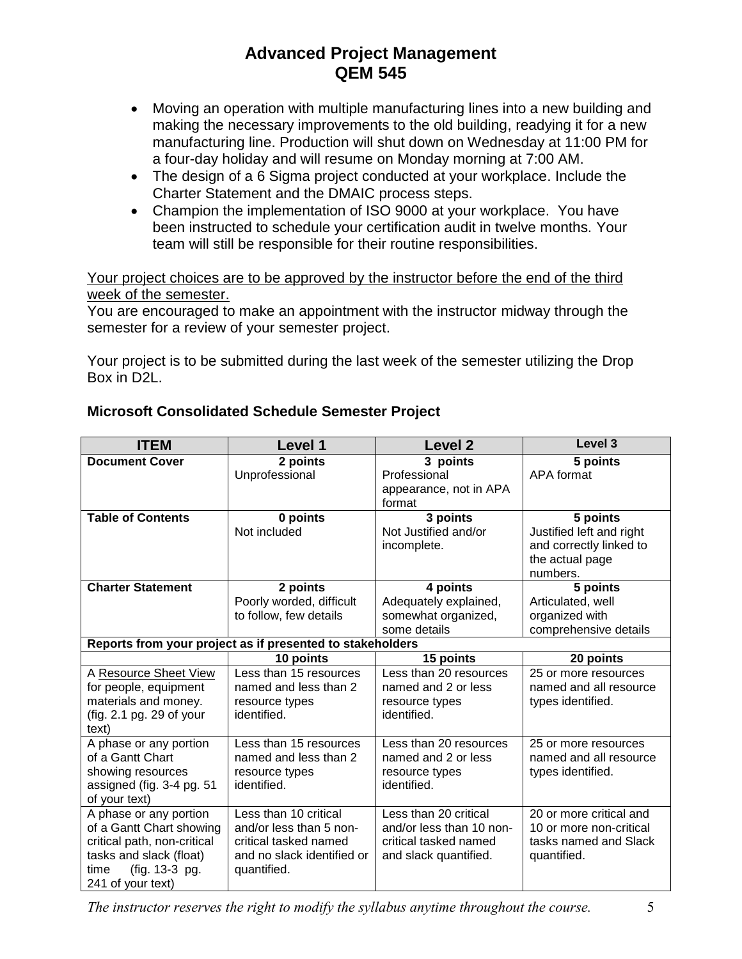- Moving an operation with multiple manufacturing lines into a new building and making the necessary improvements to the old building, readying it for a new manufacturing line. Production will shut down on Wednesday at 11:00 PM for a four-day holiday and will resume on Monday morning at 7:00 AM.
- The design of a 6 Sigma project conducted at your workplace. Include the Charter Statement and the DMAIC process steps.
- Champion the implementation of ISO 9000 at your workplace. You have been instructed to schedule your certification audit in twelve months. Your team will still be responsible for their routine responsibilities.

Your project choices are to be approved by the instructor before the end of the third week of the semester.

You are encouraged to make an appointment with the instructor midway through the semester for a review of your semester project.

Your project is to be submitted during the last week of the semester utilizing the Drop Box in D2L.

| <b>ITEM</b>                                               | Level 1                    | <b>Level 2</b>           | Level <sub>3</sub>       |
|-----------------------------------------------------------|----------------------------|--------------------------|--------------------------|
| <b>Document Cover</b>                                     | 2 points                   | 3 points                 | 5 points                 |
|                                                           | Unprofessional             | Professional             | APA format               |
|                                                           |                            | appearance, not in APA   |                          |
|                                                           |                            | format                   |                          |
| <b>Table of Contents</b>                                  | 0 points                   | 3 points                 | 5 points                 |
|                                                           | Not included               | Not Justified and/or     | Justified left and right |
|                                                           |                            | incomplete.              | and correctly linked to  |
|                                                           |                            |                          | the actual page          |
|                                                           |                            |                          | numbers.                 |
| <b>Charter Statement</b>                                  | 2 points                   | 4 points                 | 5 points                 |
|                                                           | Poorly worded, difficult   | Adequately explained,    | Articulated, well        |
|                                                           | to follow, few details     | somewhat organized,      | organized with           |
|                                                           |                            | some details             | comprehensive details    |
| Reports from your project as if presented to stakeholders |                            |                          |                          |
|                                                           | 10 points                  | 15 points                | 20 points                |
| A Resource Sheet View                                     | Less than 15 resources     | Less than 20 resources   | 25 or more resources     |
| for people, equipment                                     | named and less than 2      | named and 2 or less      | named and all resource   |
| materials and money.                                      | resource types             | resource types           | types identified.        |
| (fig. 2.1 pg. 29 of your                                  | identified.                | identified.              |                          |
| text)                                                     |                            |                          |                          |
| A phase or any portion                                    | Less than 15 resources     | Less than 20 resources   | 25 or more resources     |
| of a Gantt Chart                                          | named and less than 2      | named and 2 or less      | named and all resource   |
| showing resources                                         | resource types             | resource types           | types identified.        |
| assigned (fig. 3-4 pg. 51                                 | identified.                | identified.              |                          |
| of your text)                                             |                            |                          |                          |
| A phase or any portion                                    | Less than 10 critical      | Less than 20 critical    | 20 or more critical and  |
| of a Gantt Chart showing                                  | and/or less than 5 non-    | and/or less than 10 non- | 10 or more non-critical  |
| critical path, non-critical                               | critical tasked named      | critical tasked named    | tasks named and Slack    |
| tasks and slack (float)                                   | and no slack identified or | and slack quantified.    | quantified.              |
| (fig. 13-3 pg.<br>time                                    | quantified.                |                          |                          |
| 241 of your text)                                         |                            |                          |                          |

# **Microsoft Consolidated Schedule Semester Project**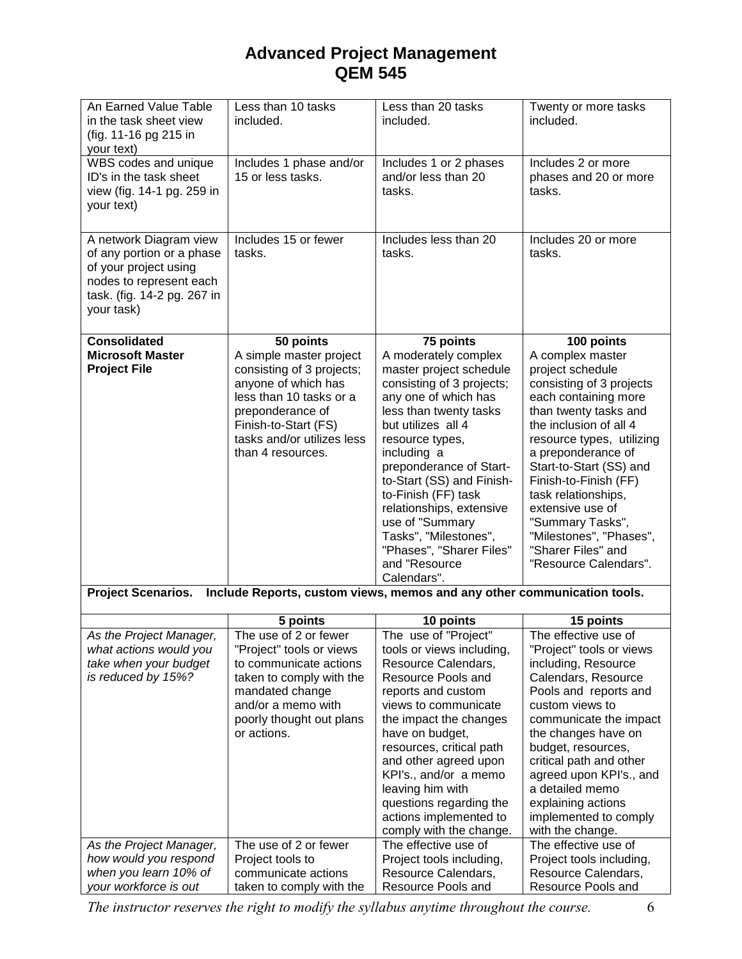| An Earned Value Table<br>in the task sheet view<br>(fig. 11-16 pg 215 in                                                                             | Less than 10 tasks<br>included.                                                                                                                                                                       | Less than 20 tasks<br>included.                                                                                                                                                                                                                                                                                                                                                                           | Twenty or more tasks<br>included.                                                                                                                                                                                                                                                                                                                                                           |  |
|------------------------------------------------------------------------------------------------------------------------------------------------------|-------------------------------------------------------------------------------------------------------------------------------------------------------------------------------------------------------|-----------------------------------------------------------------------------------------------------------------------------------------------------------------------------------------------------------------------------------------------------------------------------------------------------------------------------------------------------------------------------------------------------------|---------------------------------------------------------------------------------------------------------------------------------------------------------------------------------------------------------------------------------------------------------------------------------------------------------------------------------------------------------------------------------------------|--|
| your text)                                                                                                                                           |                                                                                                                                                                                                       |                                                                                                                                                                                                                                                                                                                                                                                                           |                                                                                                                                                                                                                                                                                                                                                                                             |  |
| WBS codes and unique<br>ID's in the task sheet<br>view (fig. 14-1 pg. 259 in<br>your text)                                                           | Includes 1 phase and/or<br>15 or less tasks.                                                                                                                                                          | Includes 1 or 2 phases<br>and/or less than 20<br>tasks.                                                                                                                                                                                                                                                                                                                                                   | Includes 2 or more<br>phases and 20 or more<br>tasks.                                                                                                                                                                                                                                                                                                                                       |  |
| A network Diagram view<br>of any portion or a phase<br>of your project using<br>nodes to represent each<br>task. (fig. 14-2 pg. 267 in<br>your task) | Includes 15 or fewer<br>tasks.                                                                                                                                                                        | Includes less than 20<br>tasks.                                                                                                                                                                                                                                                                                                                                                                           | Includes 20 or more<br>tasks.                                                                                                                                                                                                                                                                                                                                                               |  |
| <b>Consolidated</b>                                                                                                                                  | 50 points                                                                                                                                                                                             | 75 points                                                                                                                                                                                                                                                                                                                                                                                                 | 100 points                                                                                                                                                                                                                                                                                                                                                                                  |  |
| <b>Microsoft Master</b><br><b>Project File</b>                                                                                                       | A simple master project<br>consisting of 3 projects;<br>anyone of which has<br>less than 10 tasks or a<br>preponderance of<br>Finish-to-Start (FS)<br>tasks and/or utilizes less<br>than 4 resources. | A moderately complex<br>master project schedule<br>consisting of 3 projects;<br>any one of which has<br>less than twenty tasks<br>but utilizes all 4<br>resource types,<br>including a<br>preponderance of Start-<br>to-Start (SS) and Finish-<br>to-Finish (FF) task<br>relationships, extensive<br>use of "Summary<br>Tasks", "Milestones",<br>"Phases", "Sharer Files"<br>and "Resource<br>Calendars". | A complex master<br>project schedule<br>consisting of 3 projects<br>each containing more<br>than twenty tasks and<br>the inclusion of all 4<br>resource types, utilizing<br>a preponderance of<br>Start-to-Start (SS) and<br>Finish-to-Finish (FF)<br>task relationships,<br>extensive use of<br>"Summary Tasks",<br>"Milestones", "Phases",<br>"Sharer Files" and<br>"Resource Calendars". |  |
| <b>Project Scenarios.</b><br>Include Reports, custom views, memos and any other communication tools.                                                 |                                                                                                                                                                                                       |                                                                                                                                                                                                                                                                                                                                                                                                           |                                                                                                                                                                                                                                                                                                                                                                                             |  |
|                                                                                                                                                      | 5 points                                                                                                                                                                                              | 10 points                                                                                                                                                                                                                                                                                                                                                                                                 | 15 points                                                                                                                                                                                                                                                                                                                                                                                   |  |
| As the Project Manager,                                                                                                                              | The use of 2 or fewer                                                                                                                                                                                 | The use of "Project"                                                                                                                                                                                                                                                                                                                                                                                      | The effective use of                                                                                                                                                                                                                                                                                                                                                                        |  |
| what actions would you                                                                                                                               | "Project" tools or views                                                                                                                                                                              | tools or views including,                                                                                                                                                                                                                                                                                                                                                                                 | "Project" tools or views                                                                                                                                                                                                                                                                                                                                                                    |  |
| take when your budget                                                                                                                                | to communicate actions                                                                                                                                                                                | Resource Calendars,                                                                                                                                                                                                                                                                                                                                                                                       | including, Resource                                                                                                                                                                                                                                                                                                                                                                         |  |
| is reduced by 15%?                                                                                                                                   | taken to comply with the                                                                                                                                                                              | Resource Pools and                                                                                                                                                                                                                                                                                                                                                                                        | Calendars, Resource                                                                                                                                                                                                                                                                                                                                                                         |  |
|                                                                                                                                                      | mandated change                                                                                                                                                                                       | reports and custom                                                                                                                                                                                                                                                                                                                                                                                        | Pools and reports and                                                                                                                                                                                                                                                                                                                                                                       |  |
|                                                                                                                                                      | and/or a memo with                                                                                                                                                                                    | views to communicate                                                                                                                                                                                                                                                                                                                                                                                      | custom views to                                                                                                                                                                                                                                                                                                                                                                             |  |
|                                                                                                                                                      | poorly thought out plans                                                                                                                                                                              | the impact the changes                                                                                                                                                                                                                                                                                                                                                                                    | communicate the impact                                                                                                                                                                                                                                                                                                                                                                      |  |
|                                                                                                                                                      | or actions.                                                                                                                                                                                           | have on budget,                                                                                                                                                                                                                                                                                                                                                                                           | the changes have on                                                                                                                                                                                                                                                                                                                                                                         |  |
|                                                                                                                                                      |                                                                                                                                                                                                       | resources, critical path                                                                                                                                                                                                                                                                                                                                                                                  | budget, resources,                                                                                                                                                                                                                                                                                                                                                                          |  |
|                                                                                                                                                      |                                                                                                                                                                                                       | and other agreed upon                                                                                                                                                                                                                                                                                                                                                                                     | critical path and other                                                                                                                                                                                                                                                                                                                                                                     |  |
|                                                                                                                                                      |                                                                                                                                                                                                       | KPI's., and/or a memo                                                                                                                                                                                                                                                                                                                                                                                     | agreed upon KPI's., and                                                                                                                                                                                                                                                                                                                                                                     |  |
|                                                                                                                                                      |                                                                                                                                                                                                       | leaving him with                                                                                                                                                                                                                                                                                                                                                                                          | a detailed memo                                                                                                                                                                                                                                                                                                                                                                             |  |
|                                                                                                                                                      |                                                                                                                                                                                                       | questions regarding the                                                                                                                                                                                                                                                                                                                                                                                   | explaining actions                                                                                                                                                                                                                                                                                                                                                                          |  |
|                                                                                                                                                      |                                                                                                                                                                                                       | actions implemented to<br>comply with the change.                                                                                                                                                                                                                                                                                                                                                         | implemented to comply<br>with the change.                                                                                                                                                                                                                                                                                                                                                   |  |
| As the Project Manager,                                                                                                                              | The use of 2 or fewer                                                                                                                                                                                 | The effective use of                                                                                                                                                                                                                                                                                                                                                                                      | The effective use of                                                                                                                                                                                                                                                                                                                                                                        |  |
| how would you respond                                                                                                                                | Project tools to                                                                                                                                                                                      | Project tools including,                                                                                                                                                                                                                                                                                                                                                                                  | Project tools including,                                                                                                                                                                                                                                                                                                                                                                    |  |
| when you learn 10% of                                                                                                                                | communicate actions                                                                                                                                                                                   | Resource Calendars,                                                                                                                                                                                                                                                                                                                                                                                       | Resource Calendars,                                                                                                                                                                                                                                                                                                                                                                         |  |
| your workforce is out                                                                                                                                | taken to comply with the                                                                                                                                                                              | Resource Pools and                                                                                                                                                                                                                                                                                                                                                                                        | Resource Pools and                                                                                                                                                                                                                                                                                                                                                                          |  |

*The instructor reserves the right to modify the syllabus anytime throughout the course.* 6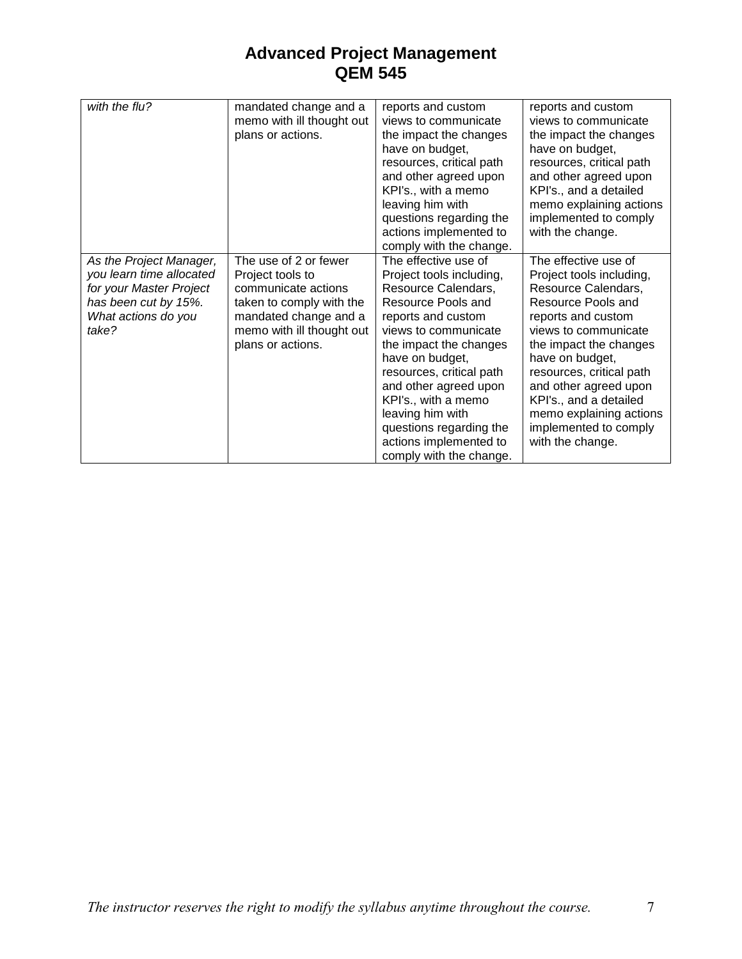| with the flu?                                                                                                                          | mandated change and a<br>memo with ill thought out<br>plans or actions.                                                                                                 | reports and custom<br>views to communicate<br>the impact the changes<br>have on budget,<br>resources, critical path<br>and other agreed upon<br>KPI's., with a memo<br>leaving him with<br>questions regarding the<br>actions implemented to<br>comply with the change.                                                                                                  | reports and custom<br>views to communicate<br>the impact the changes<br>have on budget,<br>resources, critical path<br>and other agreed upon<br>KPI's., and a detailed<br>memo explaining actions<br>implemented to comply<br>with the change.                                                                                                  |
|----------------------------------------------------------------------------------------------------------------------------------------|-------------------------------------------------------------------------------------------------------------------------------------------------------------------------|--------------------------------------------------------------------------------------------------------------------------------------------------------------------------------------------------------------------------------------------------------------------------------------------------------------------------------------------------------------------------|-------------------------------------------------------------------------------------------------------------------------------------------------------------------------------------------------------------------------------------------------------------------------------------------------------------------------------------------------|
| As the Project Manager,<br>you learn time allocated<br>for your Master Project<br>has been cut by 15%.<br>What actions do you<br>take? | The use of 2 or fewer<br>Project tools to<br>communicate actions<br>taken to comply with the<br>mandated change and a<br>memo with ill thought out<br>plans or actions. | The effective use of<br>Project tools including,<br>Resource Calendars,<br>Resource Pools and<br>reports and custom<br>views to communicate<br>the impact the changes<br>have on budget,<br>resources, critical path<br>and other agreed upon<br>KPI's., with a memo<br>leaving him with<br>questions regarding the<br>actions implemented to<br>comply with the change. | The effective use of<br>Project tools including,<br>Resource Calendars,<br>Resource Pools and<br>reports and custom<br>views to communicate<br>the impact the changes<br>have on budget,<br>resources, critical path<br>and other agreed upon<br>KPI's., and a detailed<br>memo explaining actions<br>implemented to comply<br>with the change. |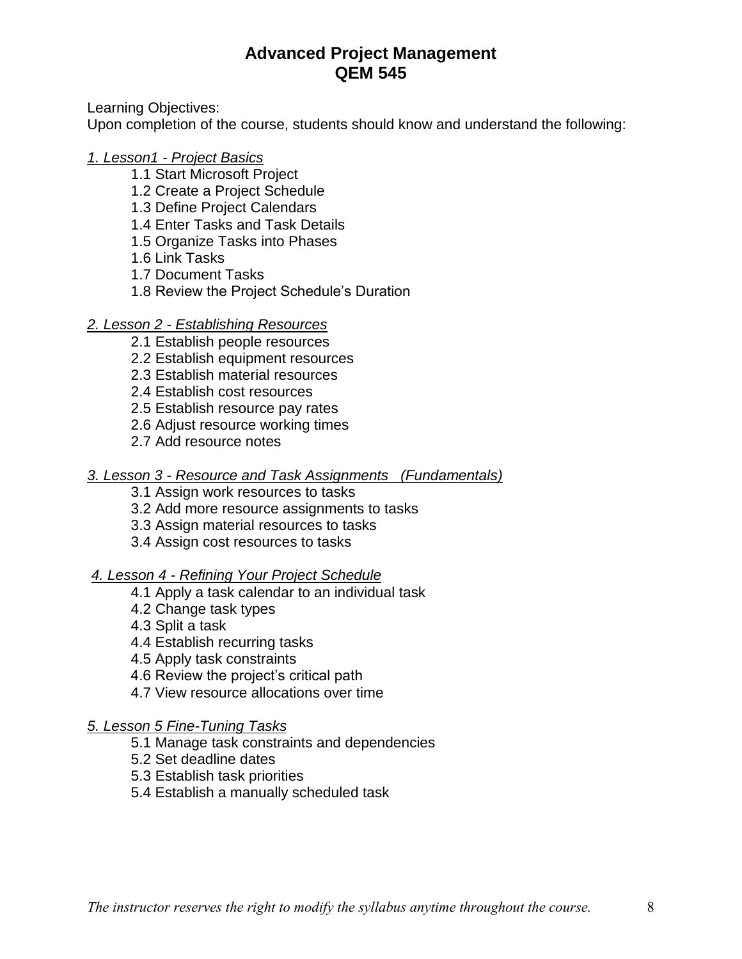Learning Objectives:

Upon completion of the course, students should know and understand the following:

## *1. Lesson1 - Project Basics*

- 1.1 Start Microsoft Project
- 1.2 Create a Project Schedule
- 1.3 Define Project Calendars
- 1.4 Enter Tasks and Task Details
- 1.5 Organize Tasks into Phases
- 1.6 Link Tasks
- 1.7 Document Tasks
- 1.8 Review the Project Schedule's Duration

# *2. Lesson 2 - Establishing Resources*

- 2.1 Establish people resources
- 2.2 Establish equipment resources
- 2.3 Establish material resources
- 2.4 Establish cost resources
- 2.5 Establish resource pay rates
- 2.6 Adjust resource working times
- 2.7 Add resource notes

## *3. Lesson 3 - Resource and Task Assignments (Fundamentals)*

- 3.1 Assign work resources to tasks
- 3.2 Add more resource assignments to tasks
- 3.3 Assign material resources to tasks
- 3.4 Assign cost resources to tasks

# *4. Lesson 4 - Refining Your Project Schedule*

- 4.1 Apply a task calendar to an individual task
- 4.2 Change task types
- 4.3 Split a task
- 4.4 Establish recurring tasks
- 4.5 Apply task constraints
- 4.6 Review the project's critical path
- 4.7 View resource allocations over time

## *5. Lesson 5 Fine-Tuning Tasks*

- 5.1 Manage task constraints and dependencies
- 5.2 Set deadline dates
- 5.3 Establish task priorities
- 5.4 Establish a manually scheduled task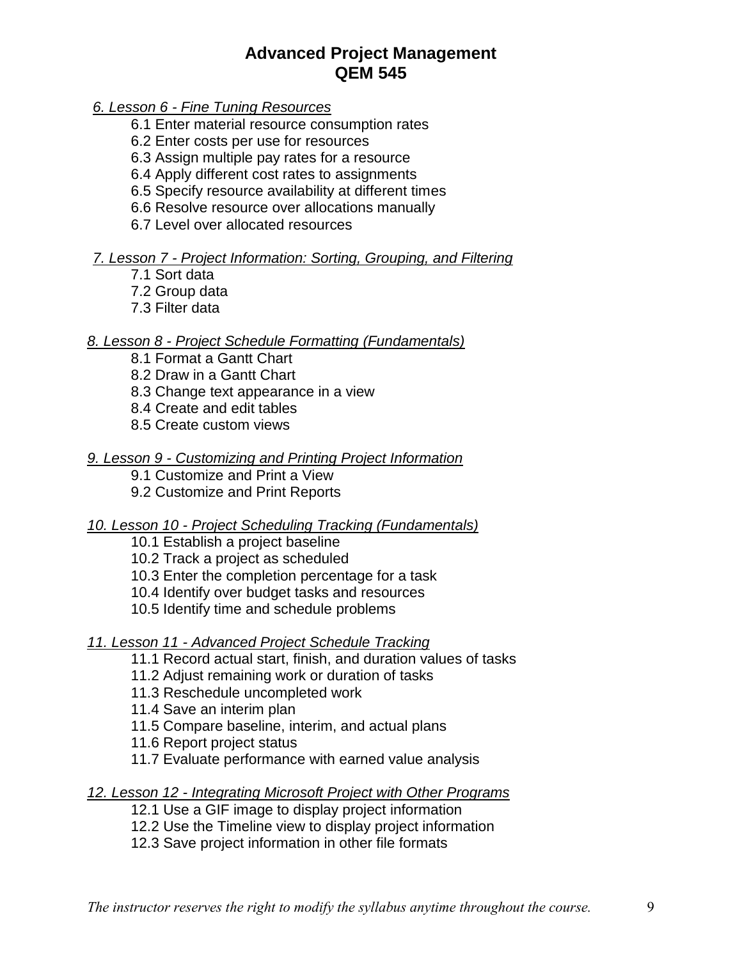*6. Lesson 6 - Fine Tuning Resources*

- 6.1 Enter material resource consumption rates
- 6.2 Enter costs per use for resources
- 6.3 Assign multiple pay rates for a resource
- 6.4 Apply different cost rates to assignments
- 6.5 Specify resource availability at different times
- 6.6 Resolve resource over allocations manually
- 6.7 Level over allocated resources

### *7. Lesson 7 - Project Information: Sorting, Grouping, and Filtering*

- 7.1 Sort data
- 7.2 Group data
- 7.3 Filter data

### *8. Lesson 8 - Project Schedule Formatting (Fundamentals)*

- 8.1 Format a Gantt Chart
- 8.2 Draw in a Gantt Chart
- 8.3 Change text appearance in a view
- 8.4 Create and edit tables
- 8.5 Create custom views

### *9. Lesson 9 - Customizing and Printing Project Information*

- 9.1 Customize and Print a View
- 9.2 Customize and Print Reports

#### *10. Lesson 10 - Project Scheduling Tracking (Fundamentals)*

- 10.1 Establish a project baseline
- 10.2 Track a project as scheduled
- 10.3 Enter the completion percentage for a task
- 10.4 Identify over budget tasks and resources
- 10.5 Identify time and schedule problems

#### *11. Lesson 11 - Advanced Project Schedule Tracking*

- 11.1 Record actual start, finish, and duration values of tasks
- 11.2 Adjust remaining work or duration of tasks
- 11.3 Reschedule uncompleted work
- 11.4 Save an interim plan
- 11.5 Compare baseline, interim, and actual plans
- 11.6 Report project status
- 11.7 Evaluate performance with earned value analysis

#### *12. Lesson 12 - Integrating Microsoft Project with Other Programs*

- 12.1 Use a GIF image to display project information
- 12.2 Use the Timeline view to display project information
- 12.3 Save project information in other file formats